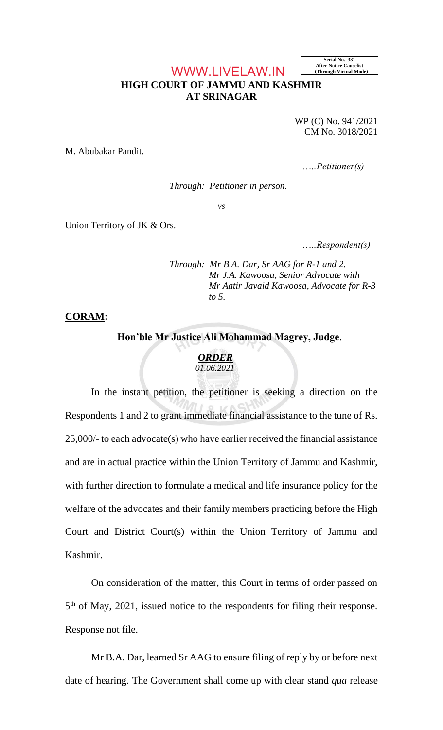WWW.LIVELAW.IN

**Serial No. 331 After Notice Causelist (Through Virtual Mode)**

## **HIGH COURT OF JAMMU AND KASHMIR AT SRINAGAR**

WP (C) No. 941/2021 CM No. 3018/2021

M. Abubakar Pandit.

…*…Petitioner(s)*

*Through: Petitioner in person.*

*vs*

Union Territory of JK & Ors.

…*…Respondent(s)*

*Through: Mr B.A. Dar, Sr AAG for R-1 and 2. Mr J.A. Kawoosa, Senior Advocate with Mr Aatir Javaid Kawoosa, Advocate for R-3 to 5.*

**CORAM:** 

**Hon'ble Mr Justice Ali Mohammad Magrey, Judge**.

## *ORDER 01.06.2021*

In the instant petition, the petitioner is seeking a direction on the Respondents 1 and 2 to grant immediate financial assistance to the tune of Rs. 25,000/- to each advocate(s) who have earlier received the financial assistance and are in actual practice within the Union Territory of Jammu and Kashmir, with further direction to formulate a medical and life insurance policy for the welfare of the advocates and their family members practicing before the High Court and District Court(s) within the Union Territory of Jammu and Kashmir.

On consideration of the matter, this Court in terms of order passed on 5<sup>th</sup> of May, 2021, issued notice to the respondents for filing their response. Response not file.

Mr B.A. Dar, learned Sr AAG to ensure filing of reply by or before next date of hearing. The Government shall come up with clear stand *qua* release